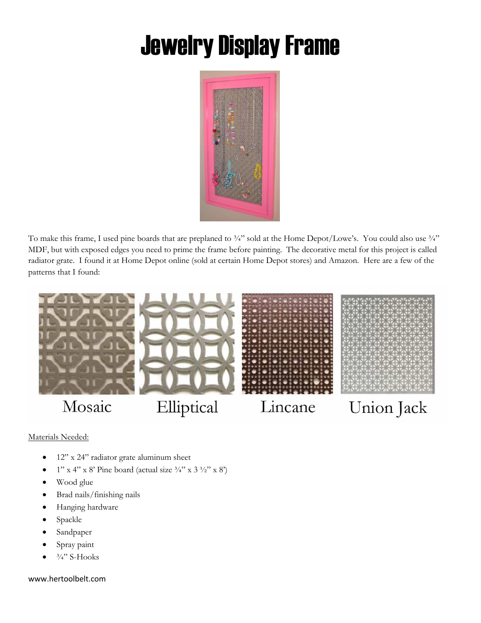## Jewelry Display Frame



To make this frame, I used pine boards that are preplaned to  $\frac{3}{4}$  sold at the Home Depot/Lowe's. You could also use  $\frac{3}{4}$ " MDF, but with exposed edges you need to prime the frame before painting. The decorative metal for this project is called radiator grate. I found it at Home Depot online (sold at certain Home Depot stores) and Amazon. Here are a few of the patterns that I found:



Materials Needed:

- 12" x 24" radiator grate aluminum sheet
- $1''$  x 4" x 8' Pine board (actual size  $\frac{3}{4}$ " x 3 $\frac{1}{2}$ " x 8")
- Wood glue
- Brad nails/finishing nails
- Hanging hardware
- Spackle
- Sandpaper
- Spray paint
- $\frac{3}{4}$ " S-Hooks

www.hertoolbelt.com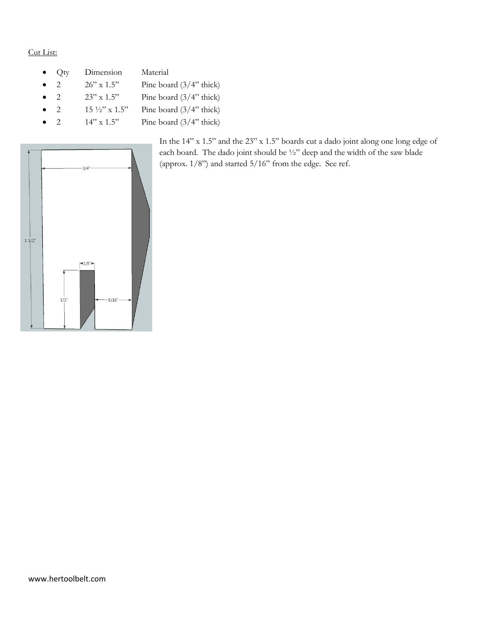## Cut List:

 Qty Dimension Material 2 26" x 1.5" Pine board  $(3/4"$  thick) 2 23" x 1.5" Pine board  $(3/4"$  thick) 2 15  $\frac{1}{2}$  x 1.5" Pine board (3/4" thick) 2 14" x 1.5" Pine board  $(3/4"$  thick)



In the 14" x 1.5" and the 23" x 1.5" boards cut a dado joint along one long edge of each board. The dado joint should be ½" deep and the width of the saw blade (approx. 1/8") and started 5/16" from the edge. See ref.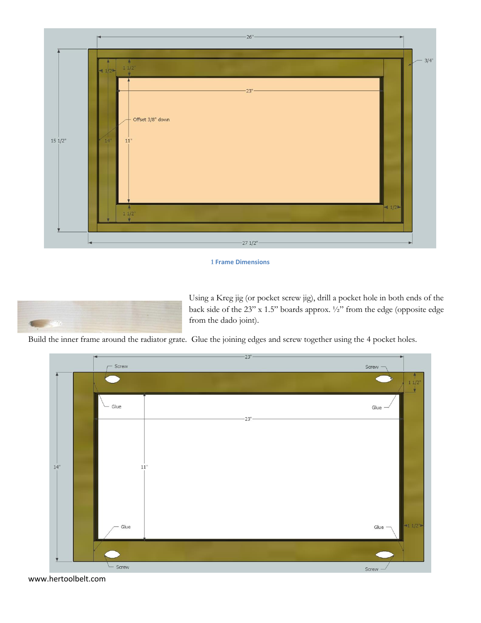

## **1 Frame Dimensions**



Using a Kreg jig (or pocket screw jig), drill a pocket hole in both ends of the back side of the 23" x 1.5" boards approx. ½" from the edge (opposite edge from the dado joint).

Build the inner frame around the radiator grate. Glue the joining edges and screw together using the 4 pocket holes.



www.hertoolbelt.com